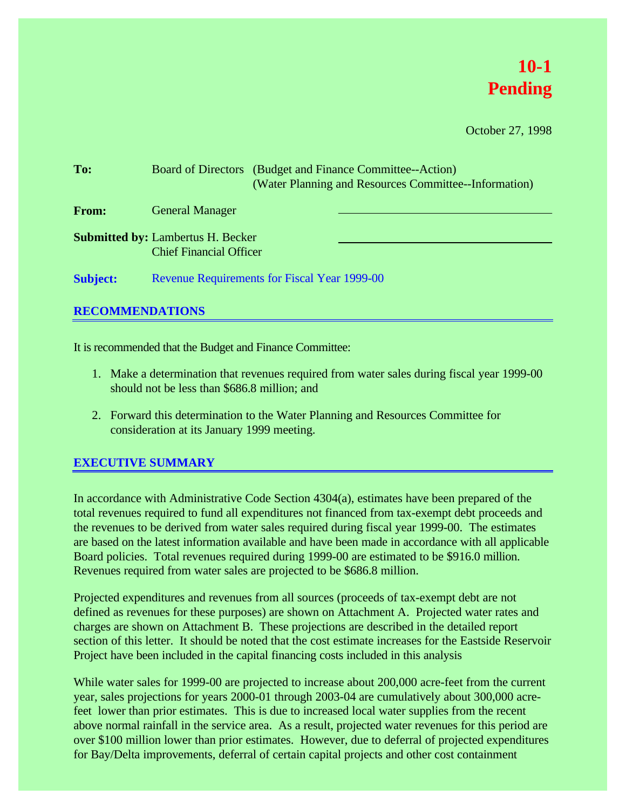# **10-1 Pending**

October 27, 1998

| To:             | Board of Directors (Budget and Finance Committee--Action)<br>(Water Planning and Resources Committee--Information) |  |  |  |  |  |  |
|-----------------|--------------------------------------------------------------------------------------------------------------------|--|--|--|--|--|--|
| From:           | <b>General Manager</b>                                                                                             |  |  |  |  |  |  |
|                 | <b>Submitted by: Lambertus H. Becker</b><br><b>Chief Financial Officer</b>                                         |  |  |  |  |  |  |
| <b>Subject:</b> | <b>Revenue Requirements for Fiscal Year 1999-00</b>                                                                |  |  |  |  |  |  |

### **RECOMMENDATIONS**

It is recommended that the Budget and Finance Committee:

- 1. Make a determination that revenues required from water sales during fiscal year 1999-00 should not be less than \$686.8 million; and
- 2. Forward this determination to the Water Planning and Resources Committee for consideration at its January 1999 meeting.

### **EXECUTIVE SUMMARY**

In accordance with Administrative Code Section 4304(a), estimates have been prepared of the total revenues required to fund all expenditures not financed from tax-exempt debt proceeds and the revenues to be derived from water sales required during fiscal year 1999-00. The estimates are based on the latest information available and have been made in accordance with all applicable Board policies. Total revenues required during 1999-00 are estimated to be \$916.0 million. Revenues required from water sales are projected to be \$686.8 million.

Projected expenditures and revenues from all sources (proceeds of tax-exempt debt are not defined as revenues for these purposes) are shown on Attachment A. Projected water rates and charges are shown on Attachment B. These projections are described in the detailed report section of this letter. It should be noted that the cost estimate increases for the Eastside Reservoir Project have been included in the capital financing costs included in this analysis

While water sales for 1999-00 are projected to increase about 200,000 acre-feet from the current year, sales projections for years 2000-01 through 2003-04 are cumulatively about 300,000 acrefeet lower than prior estimates. This is due to increased local water supplies from the recent above normal rainfall in the service area. As a result, projected water revenues for this period are over \$100 million lower than prior estimates. However, due to deferral of projected expenditures for Bay/Delta improvements, deferral of certain capital projects and other cost containment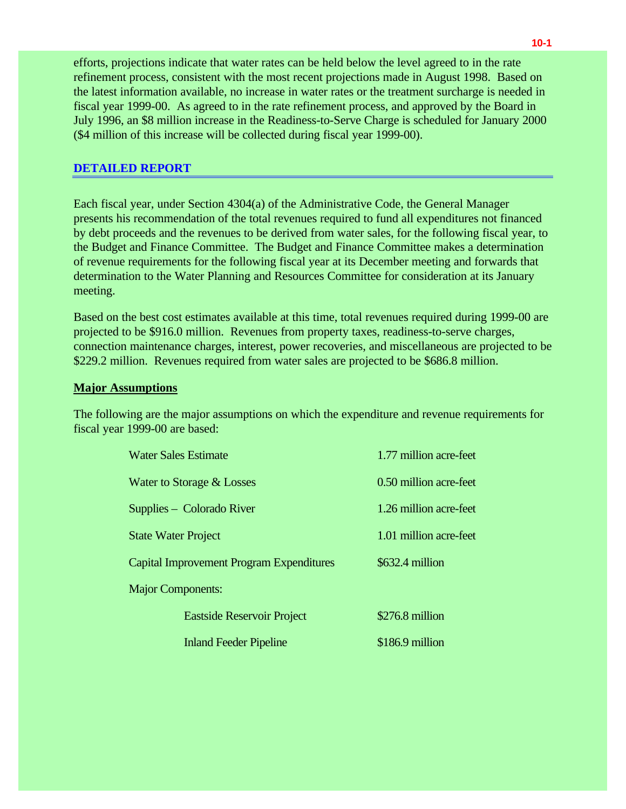efforts, projections indicate that water rates can be held below the level agreed to in the rate refinement process, consistent with the most recent projections made in August 1998. Based on the latest information available, no increase in water rates or the treatment surcharge is needed in fiscal year 1999-00. As agreed to in the rate refinement process, and approved by the Board in July 1996, an \$8 million increase in the Readiness-to-Serve Charge is scheduled for January 2000 (\$4 million of this increase will be collected during fiscal year 1999-00).

### **DETAILED REPORT**

Each fiscal year, under Section 4304(a) of the Administrative Code, the General Manager presents his recommendation of the total revenues required to fund all expenditures not financed by debt proceeds and the revenues to be derived from water sales, for the following fiscal year, to the Budget and Finance Committee. The Budget and Finance Committee makes a determination of revenue requirements for the following fiscal year at its December meeting and forwards that determination to the Water Planning and Resources Committee for consideration at its January meeting.

Based on the best cost estimates available at this time, total revenues required during 1999-00 are projected to be \$916.0 million. Revenues from property taxes, readiness-to-serve charges, connection maintenance charges, interest, power recoveries, and miscellaneous are projected to be \$229.2 million. Revenues required from water sales are projected to be \$686.8 million.

### **Major Assumptions**

The following are the major assumptions on which the expenditure and revenue requirements for fiscal year 1999-00 are based:

| <b>Water Sales Estimate</b>                     | 1.77 million acre-feet |  |  |  |  |
|-------------------------------------------------|------------------------|--|--|--|--|
| Water to Storage & Losses                       | 0.50 million acre-feet |  |  |  |  |
| Supplies – Colorado River                       | 1.26 million acre-feet |  |  |  |  |
| <b>State Water Project</b>                      | 1.01 million acre-feet |  |  |  |  |
| <b>Capital Improvement Program Expenditures</b> | \$632.4 million        |  |  |  |  |
| <b>Major Components:</b>                        |                        |  |  |  |  |
| <b>Eastside Reservoir Project</b>               | \$276.8 million        |  |  |  |  |
| <b>Inland Feeder Pipeline</b>                   | \$186.9 million        |  |  |  |  |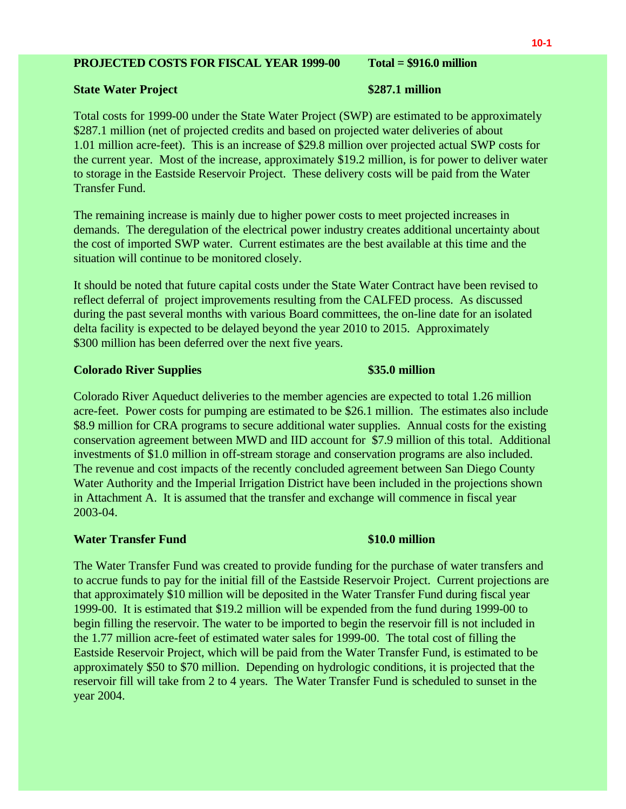### **PROJECTED COSTS FOR FISCAL YEAR 1999-00 Total = \$916.0 million**

### **State Water Project \$287.1 million**

Total costs for 1999-00 under the State Water Project (SWP) are estimated to be approximately \$287.1 million (net of projected credits and based on projected water deliveries of about 1.01 million acre-feet). This is an increase of \$29.8 million over projected actual SWP costs for the current year. Most of the increase, approximately \$19.2 million, is for power to deliver water to storage in the Eastside Reservoir Project. These delivery costs will be paid from the Water Transfer Fund.

The remaining increase is mainly due to higher power costs to meet projected increases in demands. The deregulation of the electrical power industry creates additional uncertainty about the cost of imported SWP water. Current estimates are the best available at this time and the situation will continue to be monitored closely.

It should be noted that future capital costs under the State Water Contract have been revised to reflect deferral of project improvements resulting from the CALFED process. As discussed during the past several months with various Board committees, the on-line date for an isolated delta facility is expected to be delayed beyond the year 2010 to 2015. Approximately \$300 million has been deferred over the next five years.

### **Colorado River Supplies \$35.0 million**

Colorado River Aqueduct deliveries to the member agencies are expected to total 1.26 million acre-feet. Power costs for pumping are estimated to be \$26.1 million. The estimates also include \$8.9 million for CRA programs to secure additional water supplies. Annual costs for the existing conservation agreement between MWD and IID account for \$7.9 million of this total. Additional investments of \$1.0 million in off-stream storage and conservation programs are also included. The revenue and cost impacts of the recently concluded agreement between San Diego County Water Authority and the Imperial Irrigation District have been included in the projections shown in Attachment A. It is assumed that the transfer and exchange will commence in fiscal year 2003-04.

### *Water Transfer Fund* **\$10.0 million**

The Water Transfer Fund was created to provide funding for the purchase of water transfers and to accrue funds to pay for the initial fill of the Eastside Reservoir Project. Current projections are that approximately \$10 million will be deposited in the Water Transfer Fund during fiscal year 1999-00. It is estimated that \$19.2 million will be expended from the fund during 1999-00 to begin filling the reservoir. The water to be imported to begin the reservoir fill is not included in the 1.77 million acre-feet of estimated water sales for 1999-00. The total cost of filling the Eastside Reservoir Project, which will be paid from the Water Transfer Fund, is estimated to be approximately \$50 to \$70 million. Depending on hydrologic conditions, it is projected that the reservoir fill will take from 2 to 4 years. The Water Transfer Fund is scheduled to sunset in the year 2004.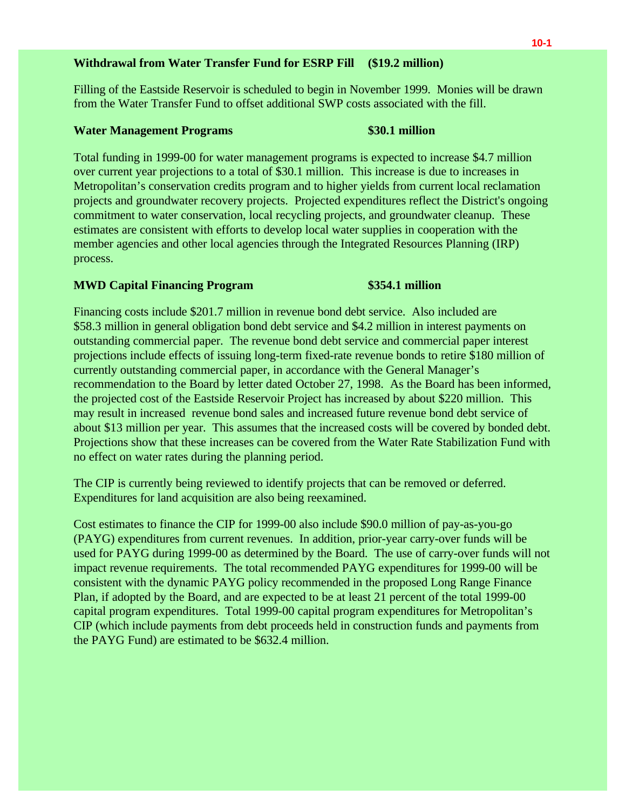### **Withdrawal from Water Transfer Fund for ESRP Fill (\$19.2 million)**

Filling of the Eastside Reservoir is scheduled to begin in November 1999. Monies will be drawn from the Water Transfer Fund to offset additional SWP costs associated with the fill.

### **Water Management Programs \$30.1 million**

Total funding in 1999-00 for water management programs is expected to increase \$4.7 million over current year projections to a total of \$30.1 million. This increase is due to increases in Metropolitan's conservation credits program and to higher yields from current local reclamation projects and groundwater recovery projects. Projected expenditures reflect the District's ongoing commitment to water conservation, local recycling projects, and groundwater cleanup. These estimates are consistent with efforts to develop local water supplies in cooperation with the member agencies and other local agencies through the Integrated Resources Planning (IRP) process.

### **MWD Capital Financing Program \$354.1 million**

Financing costs include \$201.7 million in revenue bond debt service. Also included are \$58.3 million in general obligation bond debt service and \$4.2 million in interest payments on outstanding commercial paper. The revenue bond debt service and commercial paper interest projections include effects of issuing long-term fixed-rate revenue bonds to retire \$180 million of currently outstanding commercial paper, in accordance with the General Manager's recommendation to the Board by letter dated October 27, 1998. As the Board has been informed, the projected cost of the Eastside Reservoir Project has increased by about \$220 million. This may result in increased revenue bond sales and increased future revenue bond debt service of about \$13 million per year. This assumes that the increased costs will be covered by bonded debt. Projections show that these increases can be covered from the Water Rate Stabilization Fund with no effect on water rates during the planning period.

The CIP is currently being reviewed to identify projects that can be removed or deferred. Expenditures for land acquisition are also being reexamined.

Cost estimates to finance the CIP for 1999-00 also include \$90.0 million of pay-as-you-go (PAYG) expenditures from current revenues. In addition, prior-year carry-over funds will be used for PAYG during 1999-00 as determined by the Board. The use of carry-over funds will not impact revenue requirements. The total recommended PAYG expenditures for 1999-00 will be consistent with the dynamic PAYG policy recommended in the proposed Long Range Finance Plan, if adopted by the Board, and are expected to be at least 21 percent of the total 1999-00 capital program expenditures. Total 1999-00 capital program expenditures for Metropolitan's CIP (which include payments from debt proceeds held in construction funds and payments from the PAYG Fund) are estimated to be \$632.4 million.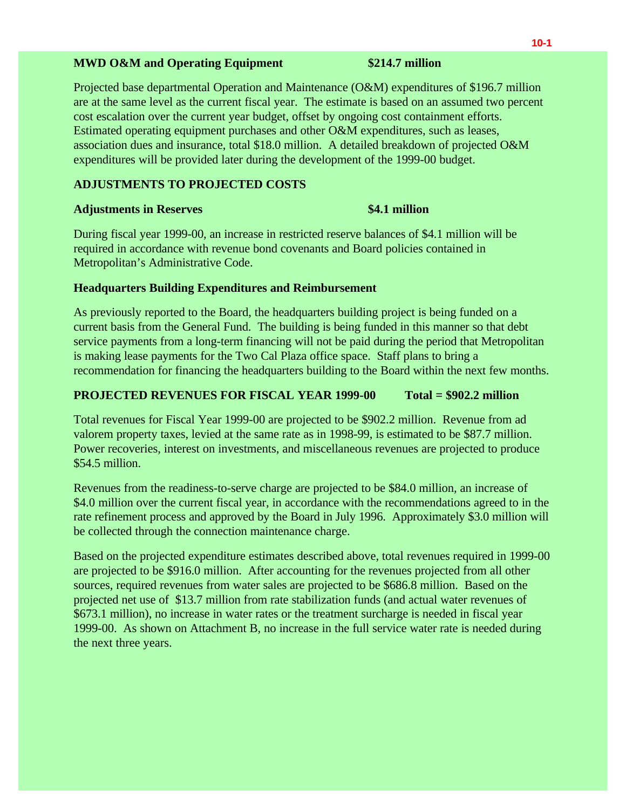### **MWD O&M and Operating Equipment \$214.7 million**

Projected base departmental Operation and Maintenance (O&M) expenditures of \$196.7 million are at the same level as the current fiscal year. The estimate is based on an assumed two percent cost escalation over the current year budget, offset by ongoing cost containment efforts. Estimated operating equipment purchases and other O&M expenditures, such as leases, association dues and insurance, total \$18.0 million. A detailed breakdown of projected O&M expenditures will be provided later during the development of the 1999-00 budget.

### **ADJUSTMENTS TO PROJECTED COSTS**

### **Adjustments in Reserves \$4.1 million**

During fiscal year 1999-00, an increase in restricted reserve balances of \$4.1 million will be required in accordance with revenue bond covenants and Board policies contained in Metropolitan's Administrative Code.

### **Headquarters Building Expenditures and Reimbursement**

As previously reported to the Board, the headquarters building project is being funded on a current basis from the General Fund. The building is being funded in this manner so that debt service payments from a long-term financing will not be paid during the period that Metropolitan is making lease payments for the Two Cal Plaza office space. Staff plans to bring a recommendation for financing the headquarters building to the Board within the next few months.

### **PROJECTED REVENUES FOR FISCAL YEAR 1999-00 Total = \$902.2 million**

Total revenues for Fiscal Year 1999-00 are projected to be \$902.2 million. Revenue from ad valorem property taxes, levied at the same rate as in 1998-99, is estimated to be \$87.7 million. Power recoveries, interest on investments, and miscellaneous revenues are projected to produce \$54.5 million.

Revenues from the readiness-to-serve charge are projected to be \$84.0 million, an increase of \$4.0 million over the current fiscal year, in accordance with the recommendations agreed to in the rate refinement process and approved by the Board in July 1996. Approximately \$3.0 million will be collected through the connection maintenance charge.

Based on the projected expenditure estimates described above, total revenues required in 1999-00 are projected to be \$916.0 million. After accounting for the revenues projected from all other sources, required revenues from water sales are projected to be \$686.8 million. Based on the projected net use of \$13.7 million from rate stabilization funds (and actual water revenues of \$673.1 million), no increase in water rates or the treatment surcharge is needed in fiscal year 1999-00. As shown on Attachment B, no increase in the full service water rate is needed during the next three years.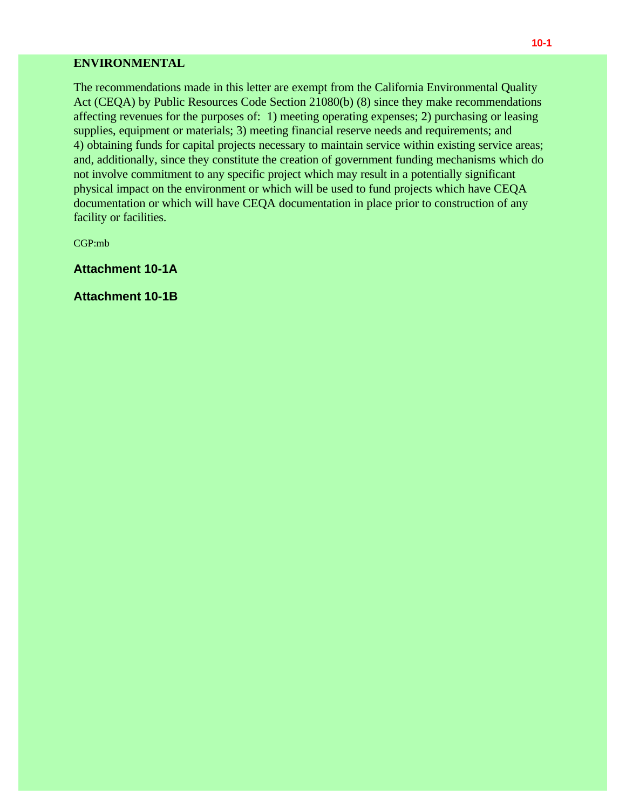### **ENVIRONMENTAL**

The recommendations made in this letter are exempt from the California Environmental Quality Act (CEQA) by Public Resources Code Section 21080(b) (8) since they make recommendations affecting revenues for the purposes of: 1) meeting operating expenses; 2) purchasing or leasing supplies, equipment or materials; 3) meeting financial reserve needs and requirements; and 4) obtaining funds for capital projects necessary to maintain service within existing service areas; and, additionally, since they constitute the creation of government funding mechanisms which do not involve commitment to any specific project which may result in a potentially significant physical impact on the environment or which will be used to fund projects which have CEQA documentation or which will have CEQA documentation in place prior to construction of any facility or facilities.

CGP:mb

**Attachment 10-1A**

**Attachment 10-1B**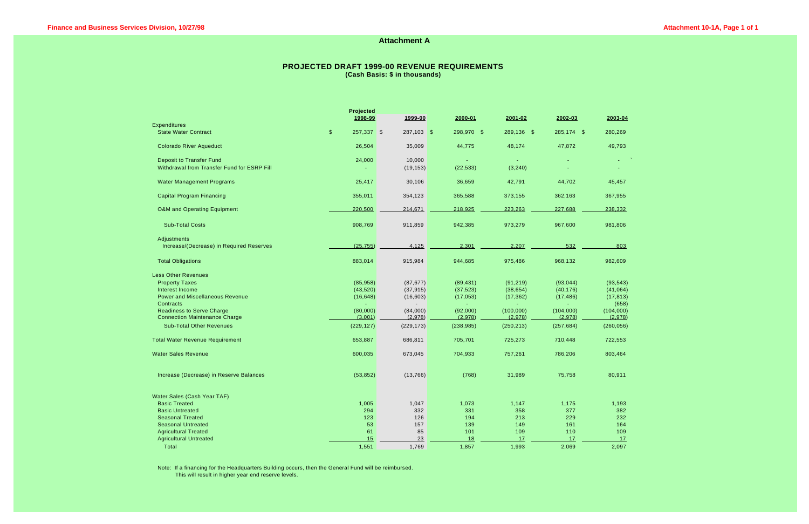### **Attachment A**

### **PROJECTED DRAFT 1999-00 REVENUE REQUIREMENTS (Cash Basis: \$ in thousands)**

| Projected                                          |                                       |            |            |            |            |            |  |  |  |  |
|----------------------------------------------------|---------------------------------------|------------|------------|------------|------------|------------|--|--|--|--|
|                                                    | 1998-99                               | 1999-00    | 2000-01    | 2001-02    | 2002-03    | 2003-04    |  |  |  |  |
| <b>Expenditures</b><br><b>State Water Contract</b> | $\sqrt[6]{\frac{1}{2}}$<br>257,337 \$ | 287,103 \$ | 298,970 \$ | 289,136 \$ | 285,174 \$ | 280,269    |  |  |  |  |
|                                                    |                                       |            |            |            |            |            |  |  |  |  |
| <b>Colorado River Aqueduct</b>                     | 26,504                                | 35,009     | 44,775     | 48,174     | 47,872     | 49,793     |  |  |  |  |
| <b>Deposit to Transfer Fund</b>                    | 24,000                                | 10,000     |            |            |            |            |  |  |  |  |
| Withdrawal from Transfer Fund for ESRP Fill        |                                       | (19, 153)  | (22, 533)  | (3, 240)   |            |            |  |  |  |  |
| <b>Water Management Programs</b>                   | 25,417                                | 30,106     | 36,659     | 42,791     | 44,702     | 45,457     |  |  |  |  |
| <b>Capital Program Financing</b>                   | 355,011                               | 354,123    | 365,588    | 373,155    | 362,163    | 367,955    |  |  |  |  |
| <b>O&amp;M</b> and Operating Equipment             | 220,500                               | 214,671    | 218,925    | 223,263    | 227,688    | 238,332    |  |  |  |  |
| <b>Sub-Total Costs</b>                             | 908,769                               | 911,859    | 942,385    | 973,279    | 967,600    | 981,806    |  |  |  |  |
| Adjustments                                        |                                       |            |            |            |            |            |  |  |  |  |
| Increase/(Decrease) in Required Reserves           | (25, 755)                             | 4,125      | 2,301      | 2,207      | 532        | 803        |  |  |  |  |
| <b>Total Obligations</b>                           | 883,014                               | 915,984    | 944,685    | 975,486    | 968,132    | 982,609    |  |  |  |  |
| <b>Less Other Revenues</b>                         |                                       |            |            |            |            |            |  |  |  |  |
| <b>Property Taxes</b>                              | (85, 958)                             | (87, 677)  | (89, 431)  | (91, 219)  | (93, 044)  | (93, 543)  |  |  |  |  |
| Interest Income                                    | (43, 520)                             | (37, 915)  | (37, 523)  | (38, 654)  | (40, 176)  | (41,064)   |  |  |  |  |
| <b>Power and Miscellaneous Revenue</b>             | (16, 648)                             | (16, 603)  | (17,053)   | (17, 362)  | (17, 486)  | (17, 813)  |  |  |  |  |
| Contracts                                          |                                       |            |            |            |            | (658)      |  |  |  |  |
| <b>Readiness to Serve Charge</b>                   | (80,000)                              | (84,000)   | (92,000)   | (100,000)  | (104,000)  | (104,000)  |  |  |  |  |
| <b>Connection Maintenance Charge</b>               | (3,001)                               | (2,978)    | (2,978)    | (2,978)    | (2,978)    | (2,978)    |  |  |  |  |
| <b>Sub-Total Other Revenues</b>                    | (229, 127)                            | (229, 173) | (238, 985) | (250, 213) | (257, 684) | (260, 056) |  |  |  |  |
| <b>Total Water Revenue Requirement</b>             | 653,887                               | 686,811    | 705,701    | 725,273    | 710,448    | 722,553    |  |  |  |  |
| <b>Water Sales Revenue</b>                         | 600,035                               | 673,045    | 704,933    | 757,261    | 786,206    | 803,464    |  |  |  |  |
| Increase (Decrease) in Reserve Balances            | (53, 852)                             | (13,766)   | (768)      | 31,989     | 75,758     | 80,911     |  |  |  |  |
| Water Sales (Cash Year TAF)                        |                                       |            |            |            |            |            |  |  |  |  |
| <b>Basic Treated</b>                               | 1,005                                 | 1,047      | 1,073      | 1,147      | 1,175      | 1,193      |  |  |  |  |
| <b>Basic Untreated</b>                             | 294                                   | 332        | 331        | 358        | 377        | 382        |  |  |  |  |
| <b>Seasonal Treated</b>                            | 123                                   | 126        | 194        | 213        | 229        | 232        |  |  |  |  |
| <b>Seasonal Untreated</b>                          | 53                                    | 157        | 139        | 149        | 161        | 164        |  |  |  |  |
| <b>Agricultural Treated</b>                        | 61                                    | 85         | 101        | 109        | 110        | 109        |  |  |  |  |
| <b>Agricultural Untreated</b>                      | 15                                    | 23         | 18         | 17         | 17         | 17         |  |  |  |  |
| <b>Total</b>                                       | 1,551                                 | 1,769      | 1,857      | 1,993      | 2,069      | 2,097      |  |  |  |  |

Note: If a financing for the Headquarters Building occurs, then the General Fund will be reimbursed. This will result in higher year end reserve levels.

| 2003-04                             |  |  |  |
|-------------------------------------|--|--|--|
| 280,269                             |  |  |  |
| 49,793                              |  |  |  |
| $\boldsymbol{\checkmark}$<br>$\sim$ |  |  |  |
| $\sim$                              |  |  |  |
| 45,457                              |  |  |  |